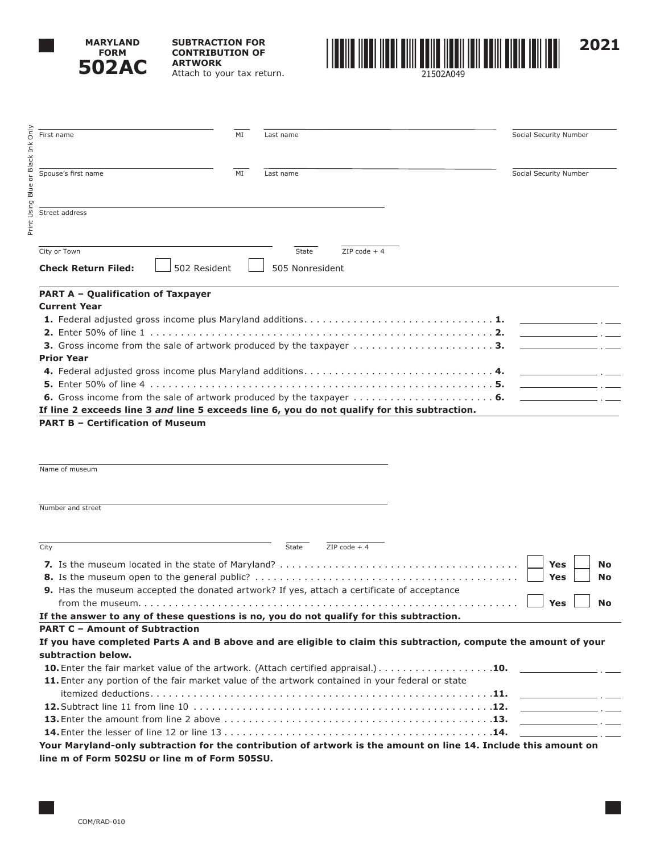

**SUBTRACTION FOR CONTRIBUTION OF ARTWORK** Attach to your tax return.



Only Print Using Blue or Black Ink Only First name Social Security Number Ink Print Using Blue or Black Spouse's first name **MI** MI Last name Social Security Number Street address  $\overline{\text{City or Town}}$   $\overline{\text{2IP code + 4}}$ **Check Return Filed:**  $\Box$  502 Resident  $\Box$  505 Nonresident **PART A – Qualification of Taxpayer Current Year 1.** Federal adjusted gross income plus Maryland additions . . . . . . . . . . . . . . . . . . . . . . . . . . . . . . **1. 2.** Enter 50% of line 1 . . . . . . . . . . . . . . . . . . . . . . . . . . . . . . . . . . . . . . . . . . . . . . . . . . . . . . . **2. 3.** Gross income from the sale of artwork produced by the taxpayer . . . . . . . . . . . . . . . . . . . . . . **3. Prior Year 4.** Federal adjusted gross income plus Maryland additions . . . . . . . . . . . . . . . . . . . . . . . . . . . . . . **4. 5.** Enter 50% of line 4 . . . . . . . . . . . . . . . . . . . . . . . . . . . . . . . . . . . . . . . . . . . . . . . . . . . . . . . **5. 6.** Gross income from the sale of artwork produced by the taxpayer . . . . . . . . . . . . . . . . . . . . . . **6. If line 2 exceeds line 3** *and* **line 5 exceeds line 6, you do not qualify for this subtraction.**

### **PART B – Certification of Museum**

Name of museum

Number and street

| City                                                                                    |                                                                                                                  | State | $ZIP code + 4$ |  |            |           |
|-----------------------------------------------------------------------------------------|------------------------------------------------------------------------------------------------------------------|-------|----------------|--|------------|-----------|
|                                                                                         |                                                                                                                  |       |                |  | Yes        | <b>No</b> |
|                                                                                         |                                                                                                                  |       |                |  | <b>Yes</b> | <b>No</b> |
|                                                                                         | <b>9.</b> Has the museum accepted the donated artwork? If yes, attach a certificate of acceptance                |       |                |  |            |           |
|                                                                                         |                                                                                                                  |       |                |  | Yes        | <b>No</b> |
| If the answer to any of these questions is no, you do not qualify for this subtraction. |                                                                                                                  |       |                |  |            |           |
| <b>PART C - Amount of Subtraction</b>                                                   |                                                                                                                  |       |                |  |            |           |
|                                                                                         | If you have completed Parts A and B above and are eligible to claim this subtraction, compute the amount of your |       |                |  |            |           |
| subtraction below.                                                                      |                                                                                                                  |       |                |  |            |           |
|                                                                                         |                                                                                                                  |       |                |  |            |           |
|                                                                                         | 11. Enter any portion of the fair market value of the artwork contained in your federal or state                 |       |                |  |            |           |
|                                                                                         |                                                                                                                  |       |                |  |            |           |
|                                                                                         |                                                                                                                  |       |                |  |            |           |
|                                                                                         |                                                                                                                  |       |                |  |            |           |
|                                                                                         |                                                                                                                  |       |                |  |            |           |
|                                                                                         |                                                                                                                  |       |                |  |            |           |

**Your Maryland-only subtraction for the contribution of artwork is the amount on line 14. Include this amount on line m of Form 502SU or line m of Form 505SU.**